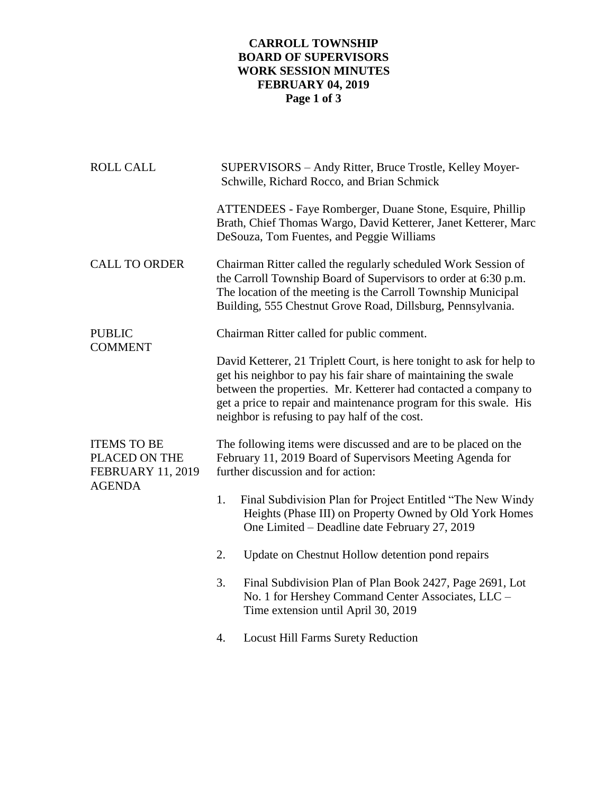## **CARROLL TOWNSHIP BOARD OF SUPERVISORS WORK SESSION MINUTES FEBRUARY 04, 2019 Page 1 of 3**

| <b>ROLL CALL</b>                                                                 | SUPERVISORS - Andy Ritter, Bruce Trostle, Kelley Moyer-<br>Schwille, Richard Rocco, and Brian Schmick                                                                                                                                                                                                                             |
|----------------------------------------------------------------------------------|-----------------------------------------------------------------------------------------------------------------------------------------------------------------------------------------------------------------------------------------------------------------------------------------------------------------------------------|
|                                                                                  | ATTENDEES - Faye Romberger, Duane Stone, Esquire, Phillip<br>Brath, Chief Thomas Wargo, David Ketterer, Janet Ketterer, Marc<br>DeSouza, Tom Fuentes, and Peggie Williams                                                                                                                                                         |
| <b>CALL TO ORDER</b>                                                             | Chairman Ritter called the regularly scheduled Work Session of<br>the Carroll Township Board of Supervisors to order at 6:30 p.m.<br>The location of the meeting is the Carroll Township Municipal<br>Building, 555 Chestnut Grove Road, Dillsburg, Pennsylvania.                                                                 |
| <b>PUBLIC</b><br><b>COMMENT</b>                                                  | Chairman Ritter called for public comment.                                                                                                                                                                                                                                                                                        |
|                                                                                  | David Ketterer, 21 Triplett Court, is here tonight to ask for help to<br>get his neighbor to pay his fair share of maintaining the swale<br>between the properties. Mr. Ketterer had contacted a company to<br>get a price to repair and maintenance program for this swale. His<br>neighbor is refusing to pay half of the cost. |
| <b>ITEMS TO BE</b><br>PLACED ON THE<br><b>FEBRUARY 11, 2019</b><br><b>AGENDA</b> | The following items were discussed and are to be placed on the<br>February 11, 2019 Board of Supervisors Meeting Agenda for<br>further discussion and for action:                                                                                                                                                                 |
|                                                                                  | 1.<br>Final Subdivision Plan for Project Entitled "The New Windy"<br>Heights (Phase III) on Property Owned by Old York Homes<br>One Limited - Deadline date February 27, 2019                                                                                                                                                     |
|                                                                                  | 2.<br>Update on Chestnut Hollow detention pond repairs                                                                                                                                                                                                                                                                            |
|                                                                                  | 3.<br>Final Subdivision Plan of Plan Book 2427, Page 2691, Lot<br>No. 1 for Hershey Command Center Associates, LLC -<br>Time extension until April 30, 2019                                                                                                                                                                       |
|                                                                                  | <b>Locust Hill Farms Surety Reduction</b><br>4.                                                                                                                                                                                                                                                                                   |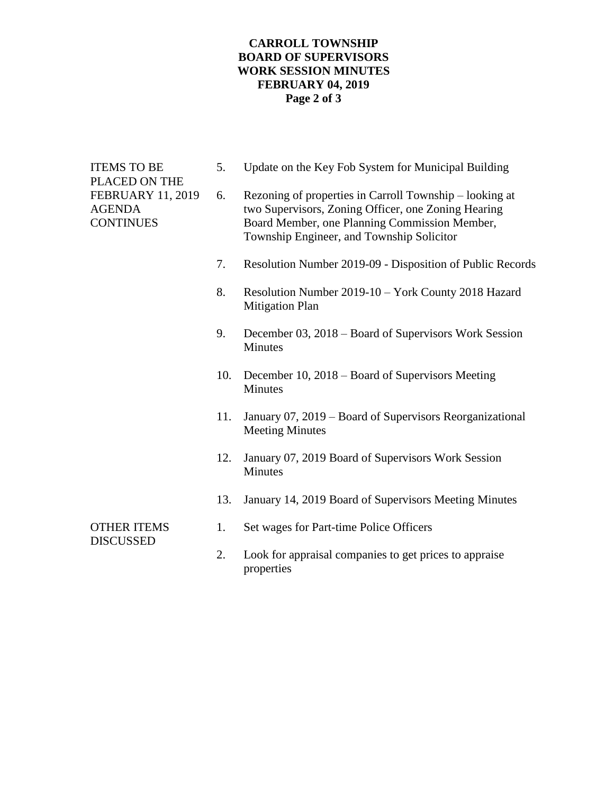## **CARROLL TOWNSHIP BOARD OF SUPERVISORS WORK SESSION MINUTES FEBRUARY 04, 2019 Page 2 of 3**

ITEMS TO BE 5. Update on the Key Fob System for Municipal Building PLACED ON THE FEBRUARY 11, 2019 6. Rezoning of properties in Carroll Township – looking at AGENDA two Supervisors, Zoning Officer, one Zoning Hearing CONTINUES Board Member, one Planning Commission Member, Township Engineer, and Township Solicitor 7. Resolution Number 2019-09 - Disposition of Public Records 8. Resolution Number 2019-10 – York County 2018 Hazard Mitigation Plan 9. December 03, 2018 – Board of Supervisors Work Session Minutes 10. December 10, 2018 – Board of Supervisors Meeting **Minutes** 11. January 07, 2019 – Board of Supervisors Reorganizational Meeting Minutes 12. January 07, 2019 Board of Supervisors Work Session Minutes 13. January 14, 2019 Board of Supervisors Meeting Minutes OTHER ITEMS 1. Set wages for Part-time Police Officers DISCUSSED 2. Look for appraisal companies to get prices to appraise properties